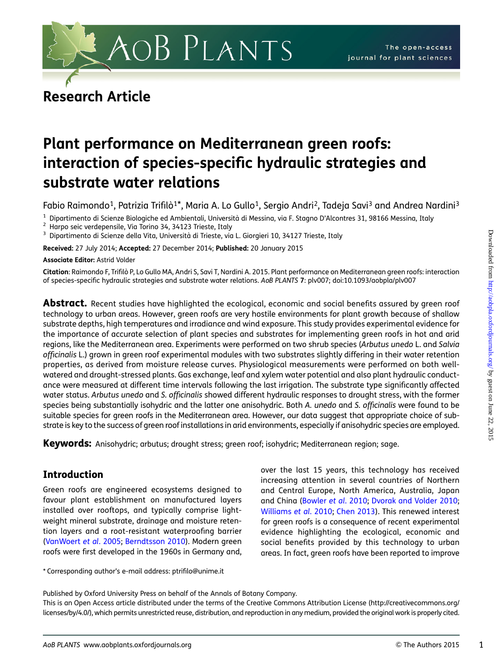

# Research Article

# Plant performance on Mediterranean green roofs: interaction of species-specific hydraulic strategies and substrate water relations

Fabio Raimondo<sup>1</sup>, Patrizia Trifilò<sup>1\*</sup>, Maria A. Lo Gullo<sup>1</sup>, Sergio Andri<sup>2</sup>, Tadeja Savi<sup>3</sup> and Andrea Nardini<sup>3</sup>

<sup>1</sup> Dipartimento di Scienze Biologiche ed Ambientali, Università di Messina, via F. Stagno D'Alcontres 31, 98166 Messina, Italy<br><sup>2</sup> Harpo seic verdepensile, Via Torino 34, 34123 Trieste, Italy<br><sup>3</sup> Dipartimento di Scienze

Received: 27 July 2014; Accepted: 27 December 2014; Published: 20 January 2015

Associate Editor: Astrid Volder

Citation: Raimondo F, Trifilò P, Lo Gullo MA, Andri S, Savi T, Nardini A. 2015. Plant performance on Mediterranean green roofs: interaction of species-specific hydraulic strategies and substrate water relations. AoB PLANTS 7: plv007; doi:10.1093/aobpla/plv007

Abstract. Recent studies have highlighted the ecological, economic and social benefits assured by green roof technology to urban areas. However, green roofs are very hostile environments for plant growth because of shallow substrate depths, high temperatures and irradiance and wind exposure. This study provides experimental evidence for the importance of accurate selection of plant species and substrates for implementing green roofs in hot and arid regions, like the Mediterranean area. Experiments were performed on two shrub species (Arbutus unedo L. and Salvia officinalis L.) grown in green roof experimental modules with two substrates slightly differing in their water retention properties, as derived from moisture release curves. Physiological measurements were performed on both wellwatered and drought-stressed plants. Gas exchange, leaf and xylem water potential and also plant hydraulic conductance were measured at different time intervals following the last irrigation. The substrate type significantly affected water status. Arbutus unedo and S. officinalis showed different hydraulic responses to drought stress, with the former species being substantially isohydric and the latter one anisohydric. Both A. unedo and S. officinalis were found to be suitable species for green roofs in the Mediterranean area. However, our data suggest that appropriate choice of substrate is key to the success of green roof installations in arid environments, especially if anisohydric species are employed.

Keywords: Anisohydric; arbutus; drought stress; green roof; isohydric; Mediterranean region; sage.

# Introduction

Green roofs are engineered ecosystems designed to favour plant establishment on manufactured layers installed over rooftops, and typically comprise lightweight mineral substrate, drainage and moisture retention layers and a root-resistant waterproofing barrier [\(VanWoert](#page-11-0) et al. 2005; [Berndtsson 2010\)](#page-10-0). Modern green roofs were first developed in the 1960s in Germany and,

\* Corresponding author's e-mail address: ptrifilo@unime.it

over the last 15 years, this technology has received increasing attention in several countries of Northern and Central Europe, North America, Australia, Japan and China [\(Bowler](#page-10-0) et al. 2010; [Dvorak and Volder 2010](#page-10-0); [Williams](#page-11-0) et al. 2010; [Chen 2013](#page-10-0)). This renewed interest for green roofs is a consequence of recent experimental evidence highlighting the ecological, economic and social benefits provided by this technology to urban areas. In fact, green roofs have been reported to improve

Published by Oxford University Press on behalf of the Annals of Botany Company.

This is an Open Access article distributed under the terms of the Creative Commons Attribution License [\(http://creativecommons.org/](http://creativecommons.org/licenses/by/4.0/) [licenses/by/4.0/\)](http://creativecommons.org/licenses/by/4.0/), which permits unrestricted reuse, distribution, and reproduction in any medium, provided the original work is properly cited.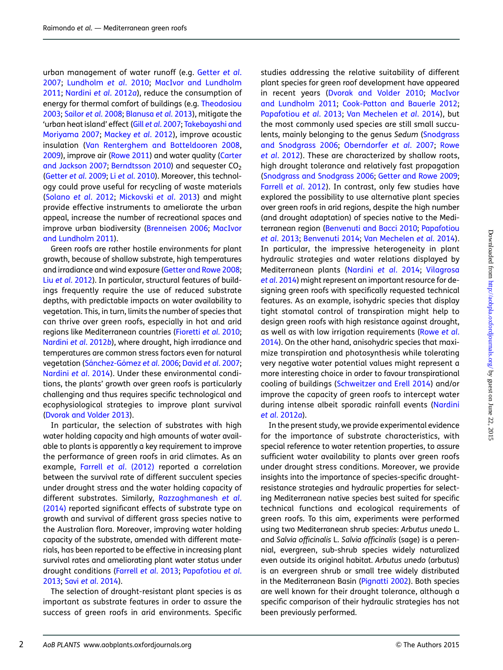urban management of water runoff (e.g. [Getter](#page-10-0) et al. [2007;](#page-10-0) [Lundholm](#page-10-0) et al. 2010; [MacIvor and Lundholm](#page-10-0) [2011](#page-10-0); [Nardini](#page-10-0) et al. 2012a), reduce the consumption of energy for thermal comfort of buildings (e.g. [Theodosiou](#page-11-0) [2003;](#page-11-0) Sailor et al[. 2008;](#page-11-0) [Blanusa](#page-10-0) et al. 2013), mitigate the 'urban heat island' effect (Gill et al[. 2007](#page-10-0); [Takebayashi and](#page-11-0) [Moriyama 2007](#page-11-0); [Mackey](#page-10-0) et al. 2012), improve acoustic insulation [\(Van Renterghem and Botteldooren 2008](#page-11-0), [2009\)](#page-11-0), improve air ([Rowe 2011](#page-11-0)) and water quality ([Carter](#page-10-0) [and Jackson 2007;](#page-10-0) [Berndtsson 2010\)](#page-10-0) and sequester CO<sub>2</sub> [\(Getter](#page-10-0) et al. 2009; Li et al[. 2010](#page-10-0)). Moreover, this technology could prove useful for recycling of waste materials [\(Solano](#page-11-0) et al. 2012; [Mickovski](#page-10-0) et al. 2013) and might provide effective instruments to ameliorate the urban appeal, increase the number of recreational spaces and improve urban biodiversity ([Brenneisen 2006](#page-10-0); [MacIvor](#page-10-0) [and Lundholm 2011\)](#page-10-0).

Green roofs are rather hostile environments for plant growth, because of shallow substrate, high temperatures and irradiance and wind exposure ([Getter and Rowe 2008](#page-10-0); Liu et al[. 2012](#page-10-0)). In particular, structural features of buildings frequently require the use of reduced substrate depths, with predictable impacts on water availability to vegetation. This, in turn, limits the number of species that can thrive over green roofs, especially in hot and arid regions like Mediterranean countries [\(Fioretti](#page-10-0) et al. 2010; [Nardini](#page-11-0) et al. 2012b), where drought, high irradiance and temperatures are common stress factors even for natural vegetation (Sánchez-Gómez et al. 2006; David et al[. 2007](#page-10-0); [Nardini](#page-11-0) et al. 2014). Under these environmental conditions, the plants' growth over green roofs is particularly challenging and thus requires specific technological and ecophysiological strategies to improve plant survival [\(Dvorak and Volder 2013](#page-10-0)).

In particular, the selection of substrates with high water holding capacity and high amounts of water available to plants is apparently a key requirement to improve the performance of green roofs in arid climates. As an example, Farrell et al[. \(2012\)](#page-10-0) reported a correlation between the survival rate of different succulent species under drought stress and the water holding capacity of different substrates. Similarly, [Razzaghmanesh](#page-11-0) et al. [\(2014\)](#page-11-0) reported significant effects of substrate type on growth and survival of different grass species native to the Australian flora. Moreover, improving water holding capacity of the substrate, amended with different materials, has been reported to be effective in increasing plant survival rates and ameliorating plant water status under drought conditions (Farrell et al[. 2013;](#page-10-0) [Papafotiou](#page-11-0) et al. [2013;](#page-11-0) Savi et al[. 2014\)](#page-11-0).

The selection of drought-resistant plant species is as important as substrate features in order to assure the success of green roofs in arid environments. Specific

studies addressing the relative suitability of different plant species for green roof development have appeared in recent years ([Dvorak and Volder 2010;](#page-10-0) [MacIvor](#page-10-0) [and Lundholm 2011;](#page-10-0) [Cook-Patton and Bauerle 2012](#page-10-0); [Papafotiou](#page-11-0) et al. 2013; [Van Mechelen](#page-11-0) et al. 2014), but the most commonly used species are still small succulents, mainly belonging to the genus Sedum [\(Snodgrass](#page-11-0) [and Snodgrass 2006](#page-11-0); [Oberndorfer](#page-11-0) et al. 2007; [Rowe](#page-11-0) et al[. 2012\)](#page-11-0). These are characterized by shallow roots, high drought tolerance and relatively fast propagation ([Snodgrass and Snodgrass 2006](#page-11-0); [Getter and Rowe 2009;](#page-10-0) Farrell et al[. 2012](#page-10-0)). In contrast, only few studies have explored the possibility to use alternative plant species over green roofs in arid regions, despite the high number (and drought adaptation) of species native to the Mediterranean region [\(Benvenuti and Bacci 2010](#page-10-0); [Papafotiou](#page-11-0) et al[. 2013](#page-11-0); [Benvenuti 2014;](#page-10-0) [Van Mechelen](#page-11-0) et al. 2014). In particular, the impressive heterogeneity in plant hydraulic strategies and water relations displayed by Mediterranean plants [\(Nardini](#page-11-0) et al. 2014; [Vilagrosa](#page-11-0) et al[. 2014](#page-11-0)) might represent an important resource for designing green roofs with specifically requested technical features. As an example, isohydric species that display tight stomatal control of transpiration might help to design green roofs with high resistance against drought, as well as with low irrigation requirements [\(Rowe](#page-11-0) et al. [2014\)](#page-11-0). On the other hand, anisohydric species that maximize transpiration and photosynthesis while tolerating very negative water potential values might represent a more interesting choice in order to favour transpirational cooling of buildings ([Schweitzer and Erell 2014](#page-11-0)) and/or improve the capacity of green roofs to intercept water during intense albeit sporadic rainfall events [\(Nardini](#page-10-0) et al[. 2012](#page-10-0)a).

In the present study, we provide experimental evidence for the importance of substrate characteristics, with special reference to water retention properties, to assure sufficient water availability to plants over green roofs under drought stress conditions. Moreover, we provide insights into the importance of species-specific droughtresistance strategies and hydraulic properties for selecting Mediterranean native species best suited for specific technical functions and ecological requirements of green roofs. To this aim, experiments were performed using two Mediterranean shrub species: Arbutus unedo L. and Salvia officinalis L. Salvia officinalis (sage) is a perennial, evergreen, sub-shrub species widely naturalized even outside its original habitat. Arbutus unedo (arbutus) is an evergreen shrub or small tree widely distributed in the Mediterranean Basin [\(Pignatti 2002\)](#page-11-0). Both species are well known for their drought tolerance, although a specific comparison of their hydraulic strategies has not been previously performed.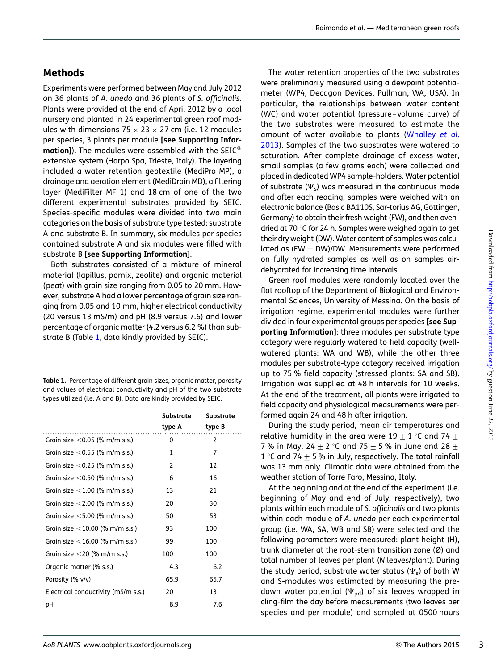# **Methods**

Experiments were performed between May and July 2012 on 36 plants of A. unedo and 36 plants of S. officinalis. Plants were provided at the end of April 2012 by a local nursery and planted in 24 experimental green roof modules with dimensions 75  $\times$  23  $\times$  27 cm (i.e. 12 modules per species, 3 plants per module [see [Supporting Infor](http://creativecommons.org/licenses/by/4.0/)[mation\]](http://creativecommons.org/licenses/by/4.0/)). The modules were assembled with the SEIC<sup>®</sup> extensive system (Harpo Spa, Trieste, Italy). The layering included a water retention geotextile (MediPro MP), a drainage and aeration element (MediDrain MD), a filtering layer (MediFilter MF 1) and 18 cm of one of the two different experimental substrates provided by SEIC. Species-specific modules were divided into two main categories on the basis of substrate type tested: substrate A and substrate B. In summary, six modules per species contained substrate A and six modules were filled with substrate B [\[see Supporting Information\]](http://aobpla.oxfordjournals.org/lookup/suppl/doi:10.1093/aobpla/plv007/-/DC1).

Both substrates consisted of a mixture of mineral material (lapillus, pomix, zeolite) and organic material (peat) with grain size ranging from 0.05 to 20 mm. However, substrate A had a lower percentage of grain size ranging from 0.05 and 10 mm, higher electrical conductivity (20 versus 13 mS/m) and pH (8.9 versus 7.6) and lower percentage of organic matter (4.2 versus 6.2 %) than substrate B (Table 1, data kindly provided by SEIC).

Table 1. Percentage of different grain sizes, organic matter, porosity and values of electrical conductivity and pH of the two substrate types utilized (i.e. A and B). Data are kindly provided by SEIC.

|                                     | Substrate<br>type A | <b>Substrate</b><br>type B |
|-------------------------------------|---------------------|----------------------------|
| Grain size $<$ 0.05 (% m/m s.s.)    | 0                   | 2                          |
| Grain size $<$ 0.55 (% m/m s.s.)    | 1                   | 7                          |
| Grain size $<$ 0.25 (% m/m s.s.)    | 2                   | 12                         |
| Grain size $<$ 0.50 (% m/m s.s.)    | 6                   | 16                         |
| Grain size $<$ 1.00 (% m/m s.s.)    | 13                  | 21                         |
| Grain size $<$ 2.00 (% m/m s.s.)    | 20                  | 30                         |
| Grain size $<$ 5.00 (% m/m s.s.)    | 50                  | 53                         |
| Grain size $<$ 10.00 (% m/m s.s.)   | 93                  | 100                        |
| Grain size $<$ 16.00 (% m/m s.s.)   | 99                  | 100                        |
| Grain size $<$ 20 (% m/m s.s.)      | 100                 | 100                        |
| Organic matter (% s.s.)             | 4.3                 | 6.2                        |
| Porosity (% v/v)                    | 65.9                | 65.7                       |
| Electrical conductivity (mS/m s.s.) | 20                  | 13                         |
| рH                                  | 8.9                 | 7.6                        |

The water retention properties of the two substrates were preliminarily measured using a dewpoint potentiameter (WP4, Decagon Devices, Pullman, WA, USA). In particular, the relationships between water content (WC) and water potential (pressure –volume curve) of the two substrates were measured to estimate the amount of water available to plants ([Whalley](#page-11-0) et al. [2013](#page-11-0)). Samples of the two substrates were watered to saturation. After complete drainage of excess water, small samples (a few grams each) were collected and placed in dedicated WP4 sample-holders. Water potential of substrate ( $\Psi_{s}$ ) was measured in the continuous mode and after each reading, samples were weighed with an electronic balance (Basic BA110S, Sar-torius AG, Göttingen, Germany) to obtain their fresh weight (FW), and then ovendried at 70  $\degree$ C for 24 h. Samples were weighed again to get their dry weight (DW). Water content of samples was calculated as  $(FW - DW)/DW$ . Measurements were performed on fully hydrated samples as well as on samples airdehydrated for increasing time intervals.

Green roof modules were randomly located over the flat rooftop of the Department of Biological and Environmental Sciences, University of Messina. On the basis of irrigation regime, experimental modules were further divided in four experimental groups per species [\[see Sup](http://aobpla.oxfordjournals.org/lookup/suppl/doi:10.1093/aobpla/plv007/-/DC1)[porting Information](http://aobpla.oxfordjournals.org/lookup/suppl/doi:10.1093/aobpla/plv007/-/DC1)]: three modules per substrate type category were regularly watered to field capacity (wellwatered plants: WA and WB), while the other three modules per substrate-type category received irrigation up to 75 % field capacity (stressed plants: SA and SB). Irrigation was supplied at 48 h intervals for 10 weeks. At the end of the treatment, all plants were irrigated to field capacity and physiological measurements were performed again 24 and 48 h after irrigation.

During the study period, mean air temperatures and relative humidity in the area were  $19 \pm 1$  °C and 74  $\pm$ 7 % in May, 24  $\pm$  2 °C and 75  $\pm$  5 % in June and 28  $\pm$ 1 °C and 74  $\pm$  5 % in July, respectively. The total rainfall was 13 mm only. Climatic data were obtained from the weather station of Torre Faro, Messina, Italy.

At the beginning and at the end of the experiment (i.e. beginning of May and end of July, respectively), two plants within each module of S. officinalis and two plants within each module of A. unedo per each experimental group (i.e. WA, SA, WB and SB) were selected and the following parameters were measured: plant height (H), trunk diameter at the root-stem transition zone (Ø) and total number of leaves per plant (N leaves/plant). During the study period, substrate water status ( $\Psi_{\rm s}$ ) of both W and S-modules was estimated by measuring the predawn water potential ( $\Psi_{pd}$ ) of six leaves wrapped in cling-film the day before measurements (two leaves per species and per module) and sampled at 0500 hours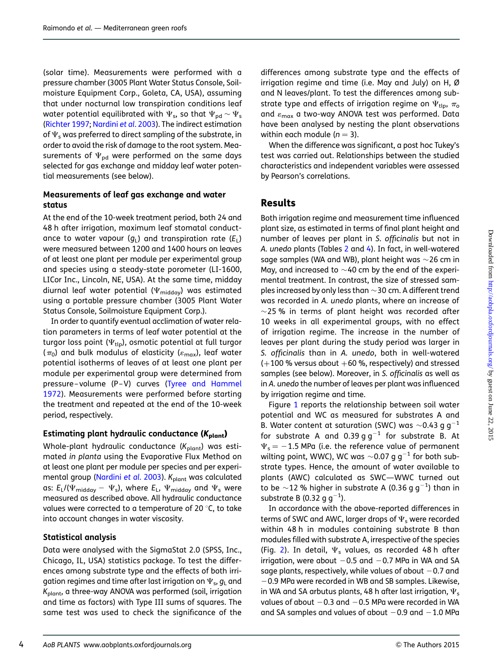(solar time). Measurements were performed with a pressure chamber (3005 Plant Water Status Console, Soilmoisture Equipment Corp., Goleta, CA, USA), assuming that under nocturnal low transpiration conditions leaf water potential equilibrated with  $\Psi_{\sf s}$ , so that  $\Psi_{\sf pd}$   $\sim \Psi_{\sf s}$ [\(Richter 1997;](#page-11-0) [Nardini](#page-10-0) et al. 2003). The indirect estimation of  $\Psi$ <sub>s</sub> was preferred to direct sampling of the substrate, in order to avoid the risk of damage to the root system. Measurements of  $\Psi_{\rm{nd}}$  were performed on the same days selected for gas exchange and midday leaf water potential measurements (see below).

#### Measurements of leaf gas exchange and water status

At the end of the 10-week treatment period, both 24 and 48 h after irrigation, maximum leaf stomatal conductance to water vapour  $(q_L)$  and transpiration rate  $(E_L)$ were measured between 1200 and 1400 hours on leaves of at least one plant per module per experimental group and species using a steady-state porometer (LI-1600, LICor Inc., Lincoln, NE, USA). At the same time, midday diurnal leaf water potential ( $\Psi_{\text{midday}}$ ) was estimated using a portable pressure chamber (3005 Plant Water Status Console, Soilmoisture Equipment Corp.).

In order to quantify eventual acclimation of water relation parameters in terms of leaf water potential at the turgor loss point ( $\Psi_{\text{tlp}}$ ), osmotic potential at full turgor  $(\pi_0)$  and bulk modulus of elasticity ( $\varepsilon_{\text{max}}$ ), leaf water potential isotherms of leaves of at least one plant per module per experimental group were determined from pressure –volume (P –V) curves ([Tyree and Hammel](#page-11-0) [1972\)](#page-11-0). Measurements were performed before starting the treatment and repeated at the end of the 10-week period, respectively.

### Estimating plant hydraulic conductance  $(K_{plant})$

Whole-plant hydraulic conductance  $(K_{plant})$  was estimated in planta using the Evaporative Flux Method on at least one plant per module per species and per experi-mental group ([Nardini](#page-10-0) et al. 2003). K<sub>plant</sub> was calculated as:  $E_{L}/(\Psi_{midday} - \Psi_{s})$ , where  $E_{L}$ ,  $\Psi_{midday}$  and  $\Psi_{s}$  were measured as described above. All hydraulic conductance values were corrected to a temperature of 20 $\degree$ C, to take into account changes in water viscosity.

## Statistical analysis

Data were analysed with the SigmaStat 2.0 (SPSS, Inc., Chicago, IL, USA) statistics package. To test the differences among substrate type and the effects of both irrigation regimes and time after last irrigation on  $\Psi_{s}$ ,  $g_{L}$  and Kplant, a three-way ANOVA was performed (soil, irrigation and time as factors) with Type III sums of squares. The same test was used to check the significance of the differences among substrate type and the effects of irrigation regime and time (i.e. May and July) on H, Ø and N leaves/plant. To test the differences among substrate type and effects of irrigation regime on  $\Psi_{\text{tlp}}, \pi_{\text{o}}$ and  $\varepsilon_{\text{max}}$  a two-way ANOVA test was performed. Data have been analysed by nesting the plant observations within each module  $(n = 3)$ .

When the difference was significant, a post hoc Tukey's test was carried out. Relationships between the studied characteristics and independent variables were assessed by Pearson's correlations.

# Results

Both irrigation regime and measurement time influenced plant size, as estimated in terms of final plant height and number of leaves per plant in S. officinalis but not in A. unedo plants (Tables [2](#page-4-0) and [4](#page-7-0)). In fact, in well-watered sage samples (WA and WB), plant height was  $\sim$ 26 cm in May, and increased to  $\sim$ 40 cm by the end of the experimental treatment. In contrast, the size of stressed samples increased by only less than  $\sim$ 30 cm. A different trend was recorded in A. unedo plants, where an increase of  $\sim$ 25 % in terms of plant height was recorded after 10 weeks in all experimental groups, with no effect of irrigation regime. The increase in the number of leaves per plant during the study period was larger in S. officinalis than in A. unedo, both in well-watered  $(+100\%$  versus about  $+60\%$ , respectively) and stressed samples (see below). Moreover, in S. officinalis as well as in A. unedo the number of leaves per plant was influenced by irrigation regime and time.

Figure [1](#page-4-0) reports the relationship between soil water potential and WC as measured for substrates A and B. Water content at saturation (SWC) was  $\sim$ 0.43 g g $^{-1}$ for substrate A and 0.39 g  $q^{-1}$  for substrate B. At  $\Psi_{\rm s}$  = -1.5 MPa (i.e. the reference value of permanent wilting point, WWC), WC was  ${\sim}0.07$  g g $^{-1}$  for both substrate types. Hence, the amount of water available to plants (AWC) calculated as SWC—WWC turned out to be  $\sim$ 12 % higher in substrate A (0.36 g g $^{-1}$ ) than in substrate B (0.32 g g $^{-1}$ ).

In accordance with the above-reported differences in terms of SWC and AWC, larger drops of  $\Psi_{\rm s}$  were recorded within 48 h in modules containing substrate B than modules filled with substrate A, irrespective of the species (Fig. [2\)](#page-5-0). In detail,  $\Psi_s$  values, as recorded 48 h after irrigation, were about  $-0.5$  and  $-0.7$  MPa in WA and SA sage plants, respectively, while values of about  $-0.7$  and  $-0.9$  MPa were recorded in WB and SB samples. Likewise, in WA and SA arbutus plants, 48 h after last irrigation,  $\Psi_{\rm s}$ values of about  $-0.3$  and  $-0.5$  MPa were recorded in WA and SA samples and values of about  $-0.9$  and  $-1.0$  MPa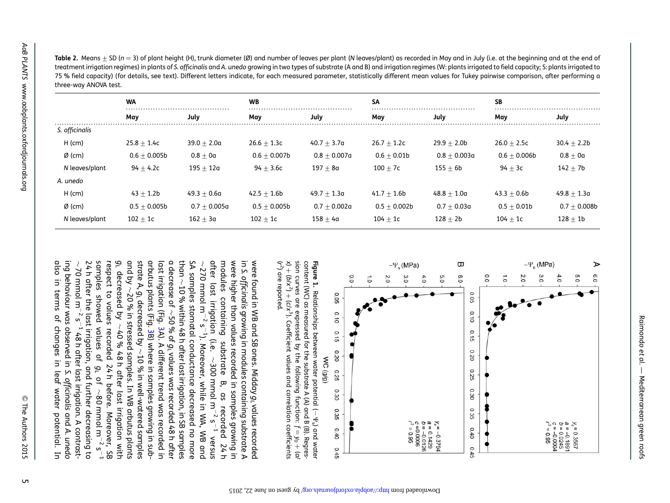|                | <b>WA</b>      |                | <b>WB</b>      |                | <b>SA</b>       |                | <b>SB</b>      |                |
|----------------|----------------|----------------|----------------|----------------|-----------------|----------------|----------------|----------------|
|                | May            | July           | May            | July           | May             | July           | May            | July           |
| S. officinalis |                |                |                |                |                 |                |                |                |
| $H$ (cm)       | $25.8 + 1.4c$  | $39.0 + 2.0a$  | $26.6 + 1.3c$  | $40.7 + 3.7a$  | $26.7 \pm 1.2c$ | $29.9 + 2.0b$  | $26.0 + 2.5c$  | $30.4 + 2.2b$  |
| $Ø$ (cm)       | $0.6 + 0.005b$ | $0.8 + 0a$     | $0.6 + 0.007b$ | $0.8 + 0.007a$ | $0.6 + 0.01b$   | $0.8 + 0.003a$ | $0.6 + 0.006b$ | $0.8 + 0a$     |
| N leaves/plant | $94 + 4.2c$    | $195 + 12a$    | $94 + 3.6c$    | $197 + 8a$     | $100 + 7c$      | $155 + 6b$     | $94 + 3c$      | $142 + 7b$     |
| A. unedo       |                |                |                |                |                 |                |                |                |
| $H$ (cm)       | $43 + 1.2b$    | $49.3 + 0.6a$  | $42.5 + 1.6b$  | $49.7 + 1.3a$  | $41.7 + 1.6b$   | $48.8 + 1.0a$  | $43.3 + 0.6b$  | $49.8 + 1.3a$  |
| $Ø$ (cm)       | $0.5 + 0.005b$ | $0.7 + 0.005a$ | $0.5 + 0.005b$ | $0.7 + 0.002a$ | $0.5 + 0.002b$  | $0.7 + 0.03a$  | $0.5 + 0.01b$  | $0.7 + 0.008b$ |
| N leaves/plant | $102 + 1c$     | $162 + 3a$     | $102 + 1c$     | $158 + 4a$     | $104 + 1c$      | $128 + 2b$     | $104 + 1c$     | $128 + 1b$     |

<span id="page-4-0"></span>**Table 2.** Means  $\pm$  SD (n = 3) of plant height (H), trunk diameter (Ø) and number of leaves per plant (N leaves/plant) as recorded in May and in July (i.e. at the beginning and at the end of treatment irrigation regimes) in plants of S. officinalis and A. unedo growing in two types of substrate (A and B) and irrigation regimes (W: plants irrigated to field capacity; S: plants irrigated to 75 % field capacity) (for details, see text). Different letters indicate, for each measured parameter, statistically different mean values for Tukey pairwise comparison, after performing <sup>a</sup> three-way ANOVA test.



 $\mathcal{L}$  $x$ <sup>2</sup> + (b/x<sup>2</sup>) + (c/x<sup>3</sup> sion curves are expressed by the following function: content (WC) as measured for the substrate A (A) and B (B). Regrescontent (WC) as measured for the substrate A (A) and B (B). Regres-Figure 1. ) are reported. Relationships between water potential (). Coefficient values and correlation coefficients .<br>چ s) and water  $f = y_0 + (a_1)$ 

also in terms of changes in leaf water potential. In also in terms of changes in leaf water potential. In ing behaviour was observed in 24 h after the last irrigation, and further decreasing to samples showed values of respect to values recorded 24 h before. Moreover, SB gL and by strate A, arbutus plants (Fig. 3B) where in samples growing in subarbutus plants (Fig. last irrigation (Fig. a decrease of than SA samples stomatal conductance decreased no more after last irrigation (i.e. after last irrigation modules modules containing substrate B, as recorded 24 h were higher than values recorded in samples growing in were higher than values recorded in samples growing in in S. officinalis growing in modules containing substrate A were found in WB and SB ones. Midday - 2  $\rightarrow$ 70 mmol m270 mmol mS. officinalis decreased by  $\rightarrow$ 10 % within 48 h after last irrigation, in SB samples  $\rightarrow$ <sup>g</sup><sup>L</sup> 20 % in stressed samples. In WB arbutus plants containing decreased by  $-2$   $2 - 1$ او مه $\sigma$  of  $g$ ر $\sim$ growing in modules containing substrate A  $-2$   $2 - 1$  $\rightarrow$ [3](#page-6-0)A). A different trend was recorded in [3B](#page-6-0)) where in samples growing in sub-40 % 48 h after last irrigation with 48 h after last irrigation. A contrast-). Moreover, while in WA, WB and (i.e.  $\sim$  300 mmol m substrate ່ ໄ values was recorded 48 h after 10 % in well-watered samples 300 mmol mgL S. officinalis of m,  $\rightarrow$ as recorded 24 h<br>as recorded 24 h 80 mmol mgL values recorded  $-5 - 5$ and A. unedo versus  $\frac{1}{2}$  $\sim$  $\overline{\phantom{a}}$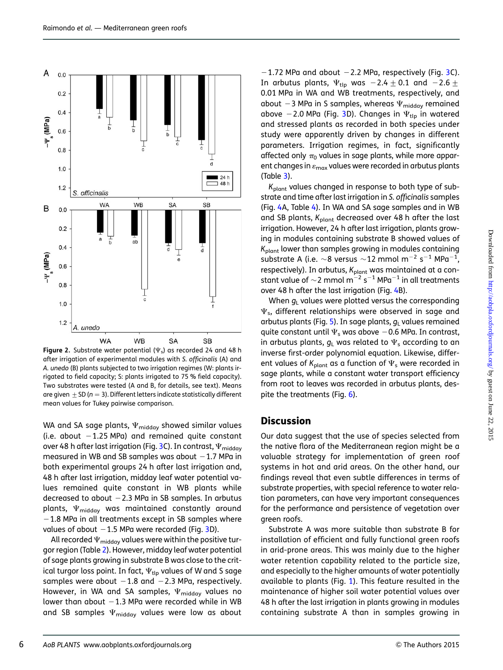<span id="page-5-0"></span>

Figure 2. Substrate water potential ( $\Psi$ <sub>s</sub>) as recorded 24 and 48 h after irrigation of experimental modules with S. officinalis (A) and A. unedo (B) plants subjected to two irrigation regimes (W: plants irrigated to field capacity; S: plants irrigated to 75 % field capacity). Two substrates were tested (A and B, for details, see text). Means are given  $\pm$  SD ( $n = 3$ ). Different letters indicate statistically different mean values for Tukey pairwise comparison.

WA and SA sage plants,  $\Psi_{\text{midday}}$  showed similar values (i.e. about  $-1.25$  MPa) and remained quite constant over 48 h after last irrigation (Fig. [3](#page-6-0)C). In contrast,  $\Psi_{\mathsf{midday}}$ measured in WB and SB samples was about  $-1.7$  MPa in both experimental groups 24 h after last irrigation and, 48 h after last irrigation, midday leaf water potential values remained quite constant in WB plants while decreased to about  $-2.3$  MPa in SB samples. In arbutus plants,  $\Psi_{\text{midday}}$  was maintained constantly around  $-1.8$  MPa in all treatments except in SB samples where values of about  $-1.5$  MPa were recorded (Fig. [3](#page-6-0)D).

All recorded  $\Psi_{\rm midday}$  values were within the positive turgor region (Table [2](#page-4-0)). However, midday leaf water potential of sage plants growing in substrate B was close to the critical turgor loss point. In fact,  $\Psi_{\text{tlo}}$  values of W and S sage samples were about  $-1.8$  and  $-2.3$  MPa, respectively. However, in WA and SA samples,  $\Psi_{\text{midday}}$  values no lower than about  $-1.3$  MPa were recorded while in WB and SB samples  $\Psi_{\text{midday}}$  values were low as about

 $-1.72$  MPa and about  $-2.2$  MPa, respectively (Fig. [3](#page-6-0)C). In arbutus plants,  $\Psi_{\text{tlp}}$  was  $-2.4\pm0.1$  and  $-2.6\pm$ 0.01 MPa in WA and WB treatments, respectively, and about -3 MPa in S samples, whereas  $\Psi_{\text{midday}}$  remained above -2.0 MPa (Fig. [3](#page-6-0)D). Changes in  $\Psi_{\text{tlo}}$  in watered and stressed plants as recorded in both species under study were apparently driven by changes in different parameters. Irrigation regimes, in fact, significantly affected only  $\pi_0$  values in sage plants, while more apparent changes in  $\varepsilon_{\text{max}}$  values were recorded in arbutus plants (Table [3\)](#page-6-0).

 $K_{\text{plant}}$  values changed in response to both type of substrate and time after last irrigation in S. officinalis samples (Fig. [4A](#page-8-0), Table [4](#page-7-0)). In WA and SA sage samples and in WB and SB plants,  $K_{\text{plant}}$  decreased over 48 h after the last irrigation. However, 24 h after last irrigation, plants growing in modules containing substrate B showed values of  $K<sub>plant</sub>$  lower than samples growing in modules containing substrate A (i.e.  $\sim$ 8 versus  $\sim$ 12 mmol m $^{-2}$  s $^{-1}$  MPa $^{-1}$ , respectively). In arbutus,  $K_{\text{plant}}$  was maintained at a constant value of  $\sim$ 2 mmol m $^{-2}$  s $^{-1}$  MPa $^{-1}$  in all treatments over 48 h after the last irrigation (Fig. [4B](#page-8-0)).

When  $q_1$  values were plotted versus the corresponding  $\Psi_{s}$ , different relationships were observed in sage and arbutus plants (Fig. [5](#page-8-0)). In sage plants,  $g<sub>L</sub>$  values remained quite constant until  $\Psi_s$  was above  $-0.6$  MPa. In contrast, in arbutus plants,  $g_L$  was related to  $\Psi_s$  according to an inverse first-order polynomial equation. Likewise, different values of  $K_{\text{plant}}$  as a function of  $\Psi_{\text{s}}$  were recorded in sage plants, while a constant water transport efficiency from root to leaves was recorded in arbutus plants, des-pite the treatments (Fig. [6\)](#page-9-0).

### **Discussion**

Our data suggest that the use of species selected from the native flora of the Mediterranean region might be a valuable strategy for implementation of green roof systems in hot and arid areas. On the other hand, our findings reveal that even subtle differences in terms of substrate properties, with special reference to water relation parameters, can have very important consequences for the performance and persistence of vegetation over green roofs.

Substrate A was more suitable than substrate B for installation of efficient and fully functional green roofs in arid-prone areas. This was mainly due to the higher water retention capability related to the particle size, and especially to the higher amounts of water potentially available to plants (Fig. [1](#page-4-0)). This feature resulted in the maintenance of higher soil water potential values over 48 h after the last irrigation in plants growing in modules containing substrate A than in samples growing in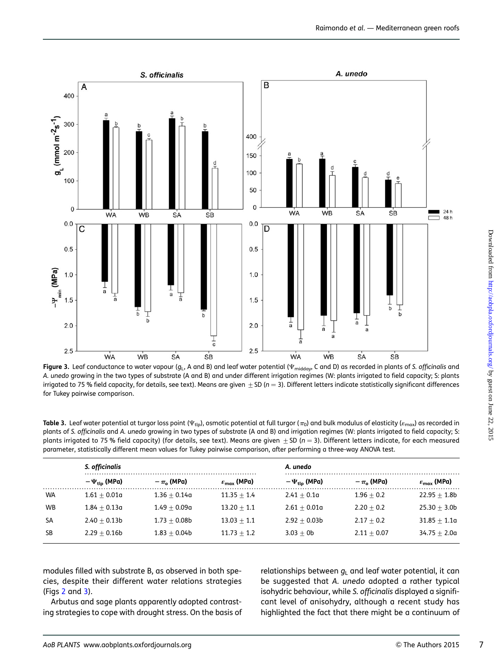<span id="page-6-0"></span>

Figure 3. Leaf conductance to water vapour ( $g<sub>L</sub>$ , A and B) and leaf water potential ( $\Psi_{midday}$ , C and D) as recorded in plants of S. officinalis and A. unedo growing in the two types of substrate (A and B) and under different irrigation regimes (W: plants irrigated to field capacity; S: plants irrigated to 75 % field capacity, for details, see text). Means are given  $\pm$  SD (n = 3). Different letters indicate statistically significant differences for Tukey pairwise comparison.

Table 3. Leaf water potential at turgor loss point ( $\Psi_{\text{tip}}$ ), osmotic potential at full turgor ( $\pi_0$ ) and bulk modulus of elasticity ( $\varepsilon_{\text{max}}$ ) as recorded in plants of S. officinalis and A. unedo growing in two types of substrate (A and B) and irrigation regimes (W: plants irrigated to field capacity; S: plants irrigated to 75 % field capacity) (for details, see text). Means are given  $\pm$  SD (n = 3). Different letters indicate, for each measured parameter, statistically different mean values for Tukey pairwise comparison, after performing a three-way ANOVA test.

|           | S. officinalis             |                  | .                             | A. unedo                   |                  |                               |  |
|-----------|----------------------------|------------------|-------------------------------|----------------------------|------------------|-------------------------------|--|
|           | $-\Psi_{\text{tlo}}$ (MPa) | $-\pi_{0}$ (MPa) | $\varepsilon_{\rm max}$ (MPa) | $-\Psi_{\text{tlo}}$ (MPa) | $-\pi_{o}$ (MPa) | $\varepsilon_{\rm max}$ (MPa) |  |
| <b>WA</b> | $1.61 + 0.01a$             | $1.36 + 0.14a$   | $11.35 + 1.4$                 | $2.41 + 0.1a$              | $1.96 + 0.2$     | $22.95 + 1.8b$                |  |
| <b>WB</b> | $1.84 + 0.13a$             | $1.49 + 0.09a$   | $13.20 + 1.1$                 | $2.61 + 0.01a$             | $2.20 + 0.2$     | $25.30 + 3.0b$                |  |
| SA        | $2.40 + 0.13b$             | $1.73 + 0.08b$   | $13.03 + 1.1$                 | $2.92 + 0.03b$             | $2.17 + 0.2$     | $31.85 + 1.1a$                |  |
| SB        | $2.29 + 0.16b$             | $1.83 + 0.04b$   | $11.73 + 1.2$                 | $3.03 + 0b$                | $2.11 + 0.07$    | $34.75 + 2.0a$                |  |

modules filled with substrate B, as observed in both species, despite their different water relations strategies (Figs [2](#page-5-0) and 3).

Arbutus and sage plants apparently adopted contrasting strategies to cope with drought stress. On the basis of

relationships between  $q_1$  and leaf water potential, it can be suggested that A. unedo adopted a rather typical isohydric behaviour, while S. officinalis displayed a significant level of anisohydry, although a recent study has highlighted the fact that there might be a continuum of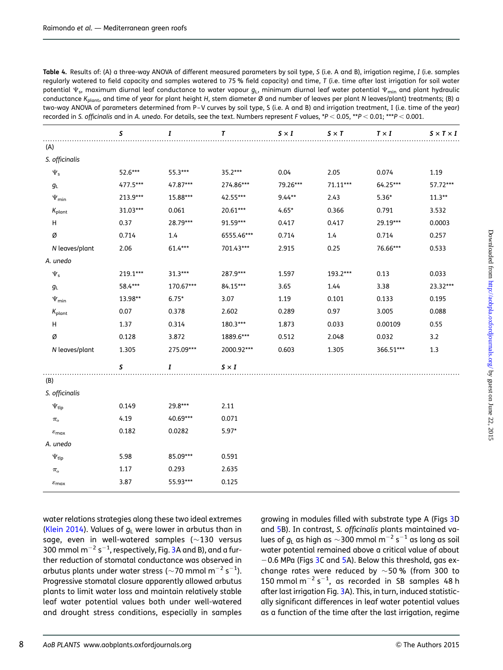<span id="page-7-0"></span>Table 4. Results of: (A) a three-way ANOVA of different measured parameters by soil type, S (i.e. A and B), irrigation regime, I (i.e. samples regularly watered to field capacity and samples watered to 75 % field capacity) and time, T (i.e. time after last irrigation for soil water potential  $\Psi_{\rm s}$ , maximum diurnal leaf conductance to water vapour  $g_{\rm L}$ , minimum diurnal leaf water potential  $\Psi_{\rm min}$  and plant hydraulic conductance K<sub>plant</sub>, and time of year for plant height H, stem diameter Ø and number of leaves per plant N leaves/plant) treatments; (B) a two-way ANOVA of parameters determined from P –V curves by soil type, S (i.e. A and B) and irrigation treatment, I (i.e. time of the year) recorded in S. officinalis and in A. unedo. For details, see the text. Numbers represent F values, \*P < 0.05, \*\*P < 0.01; \*\*\*P < 0.001.

|                            | S        | I         | Τ            | $S \times I$ | $S \times T$ | $T \times I$ | $S \times T \times I$ |
|----------------------------|----------|-----------|--------------|--------------|--------------|--------------|-----------------------|
| (A)                        |          |           |              |              |              |              |                       |
| S. officinalis             |          |           |              |              |              |              |                       |
| $\Psi_{\mathsf{s}}$        | 52.6***  | 55.3***   | $35.2***$    | 0.04         | 2.05         | 0.074        | 1.19                  |
| $g_{\rm L}$                | 477.5*** | 47.87***  | 274.86***    | 79.26***     | $71.11***$   | 64.25***     | 57.72***              |
| $\Psi_{\text{min}}$        | 213.9*** | 15.88***  | 42.55***     | $9.44**$     | 2.43         | $5.36*$      | $11.3***$             |
| $K_{\text{plant}}$         | 31.03*** | 0.061     | $20.61***$   | $4.65*$      | 0.366        | 0.791        | 3.532                 |
| н                          | 0.37     | 28.79***  | 91.59***     | 0.417        | 0.417        | 29.19***     | 0.0003                |
| Ø                          | 0.714    | 1.4       | 6555.46***   | 0.714        | 1.4          | 0.714        | 0.257                 |
| N leaves/plant             | 2.06     | 61.4***   | 701.43***    | 2.915        | 0.25         | 76.66***     | 0.533                 |
| A. unedo                   |          |           |              |              |              |              |                       |
| $\Psi_{\mathsf{s}}$        | 219.1*** | $31.3***$ | 287.9***     | 1.597        | 193.2***     | 0.13         | 0.033                 |
| $g_{\rm L}$                | 58.4***  | 170.67*** | 84.15***     | 3.65         | 1.44         | 3.38         | 23.32***              |
| $\Psi_{\sf min}$           | 13.98**  | $6.75*$   | 3.07         | 1.19         | 0.101        | 0.133        | 0.195                 |
| $K_{\text{plant}}$         | 0.07     | 0.378     | 2.602        | 0.289        | 0.97         | 3.005        | 0.088                 |
| н                          | 1.37     | 0.314     | 180.3***     | 1.873        | 0.033        | 0.00109      | 0.55                  |
| Ø                          | 0.128    | 3.872     | 1889.6***    | 0.512        | 2.048        | 0.032        | 3.2                   |
| N leaves/plant             | 1.305    | 275.09*** | 2000.92***   | 0.603        | 1.305        | 366.51***    | 1.3                   |
|                            | S        | I         | $S \times I$ |              |              |              |                       |
| (B)                        |          |           |              |              |              |              |                       |
| S. officinalis             |          |           |              |              |              |              |                       |
| $\Psi_{\mathsf{tlp}}$      | 0.149    | 29.8***   | 2.11         |              |              |              |                       |
| $\pi_{\rm o}$              | 4.19     | 40.69***  | 0.071        |              |              |              |                       |
| $\varepsilon_{\text{max}}$ | 0.182    | 0.0282    | $5.97*$      |              |              |              |                       |
| A. unedo                   |          |           |              |              |              |              |                       |
| $\Psi_{\mathsf{tlp}}$      | 5.98     | 85.09***  | 0.591        |              |              |              |                       |
| $\pi_{\rm o}$              | 1.17     | 0.293     | 2.635        |              |              |              |                       |
| $\varepsilon_{\text{max}}$ | 3.87     | 55.93***  | 0.125        |              |              |              |                       |

water relations strategies along these two ideal extremes [\(Klein 2014](#page-10-0)). Values of  $g<sub>L</sub>$  were lower in arbutus than in sage, even in well-watered samples ( $\sim$ 130 versus [3](#page-6-0)00 mmol m $^{-2}$  s $^{-1}$ , respectively, Fig. 3A and B), and a further reduction of stomatal conductance was observed in arbutus plants under water stress ( $\sim$ 70 mmol m $^{-2}$  s $^{-1}$ ). Progressive stomatal closure apparently allowed arbutus plants to limit water loss and maintain relatively stable leaf water potential values both under well-watered and drought stress conditions, especially in samples growing in modules filled with substrate type A (Figs [3](#page-6-0)D and [5](#page-8-0)B). In contrast, S. officinalis plants maintained values of  $g_{\textsf{L}}$  as high as  $\sim$ 300 mmol m $^{-2}$  s $^{-1}$  as long as soil water potential remained above a critical value of about  $-0.6$  MPa (Figs [3C](#page-6-0) and [5](#page-8-0)A). Below this threshold, gas exchange rates were reduced by  $\sim$ 50 % (from 300 to 150 mmol  $m^{-2} s^{-1}$ , as recorded in SB samples 48 h after last irrigation Fig. [3](#page-6-0)A). This, in turn, induced statistically significant differences in leaf water potential values as a function of the time after the last irrigation, regime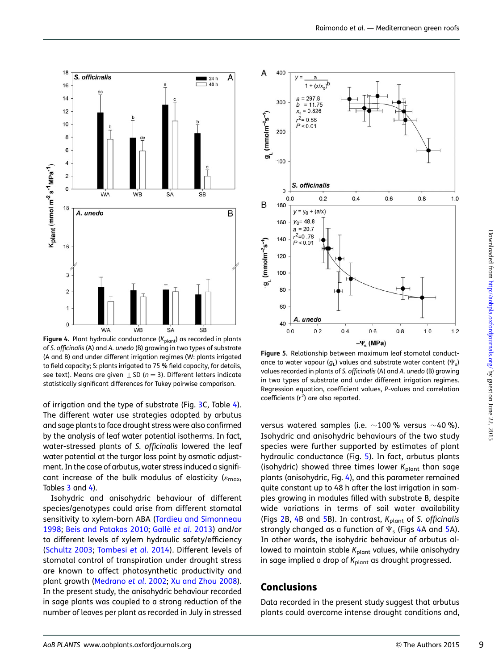

<span id="page-8-0"></span>

Figure 4. Plant hydraulic conductance  $(K_{plant})$  as recorded in plants of S. officinalis (A) and A. unedo (B) growing in two types of substrate (A and B) and under different irrigation regimes (W: plants irrigated to field capacity; S: plants irrigated to 75 % field capacity, for details, see text). Means are given  $\pm$  SD (n = 3). Different letters indicate statistically significant differences for Tukey pairwise comparison.

of irrigation and the type of substrate (Fig. [3](#page-6-0)C, Table [4\)](#page-7-0). The different water use strategies adopted by arbutus and sage plants to face drought stress were also confirmed by the analysis of leaf water potential isotherms. In fact, water-stressed plants of S. officinalis lowered the leaf water potential at the turgor loss point by osmotic adjustment. In the case of arbutus, water stress induced a significant increase of the bulk modulus of elasticity ( $\varepsilon_{\rm max}$ , Tables [3](#page-6-0) and [4](#page-7-0)).

Isohydric and anisohydric behaviour of different species/genotypes could arise from different stomatal sensitivity to xylem-born ABA ([Tardieu and Simonneau](#page-11-0) [1998;](#page-11-0) [Beis and Patakas 2010;](#page-10-0) Gallè et al[. 2013\)](#page-10-0) and/or to different levels of xylem hydraulic safety/efficiency [\(Schultz 2003;](#page-11-0) [Tombesi](#page-11-0) et al. 2014). Different levels of stomatal control of transpiration under drought stress are known to affect photosynthetic productivity and plant growth ([Medrano](#page-10-0) et al. 2002; [Xu and Zhou 2008\)](#page-11-0). In the present study, the anisohydric behaviour recorded in sage plants was coupled to a strong reduction of the number of leaves per plant as recorded in July in stressed



Figure 5. Relationship between maximum leaf stomatal conductance to water vapour ( $g_L$ ) values and substrate water content ( $\Psi_s$ ) values recorded in plants of S. officinalis (A) and A. unedo (B) growing in two types of substrate and under different irrigation regimes. Regression equation, coefficient values, P-values and correlation coefficients  $(r^2)$  are also reported.

versus watered samples (i.e.  $\sim$ 100% versus  $\sim$ 40%). Isohydric and anisohydric behaviours of the two study species were further supported by estimates of plant hydraulic conductance (Fig. 5). In fact, arbutus plants (isohydric) showed three times lower  $K_{\text{plant}}$  than sage plants (anisohydric, Fig. 4), and this parameter remained quite constant up to 48 h after the last irrigation in samples growing in modules filled with substrate B, despite wide variations in terms of soil water availability (Figs  $2B$  $2B$ , 4B and 5B). In contrast,  $K_{\text{plant}}$  of S. officinalis strongly changed as a function of  $\Psi_{s}$  (Figs 4A and 5A). In other words, the isohydric behaviour of arbutus allowed to maintain stable  $K_{\text{plant}}$  values, while anisohydry in sage implied a drop of  $K_{\text{plant}}$  as drought progressed.

### Conclusions

Data recorded in the present study suggest that arbutus plants could overcome intense drought conditions and,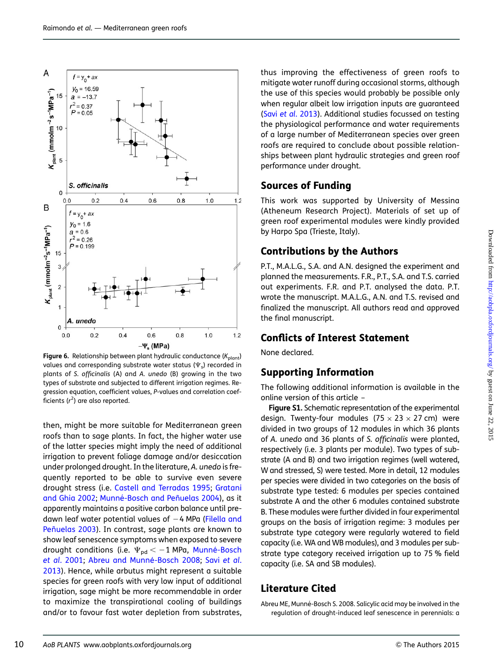<span id="page-9-0"></span>

Figure 6. Relationship between plant hydraulic conductance ( $K_{\text{plant}}$ ) values and corresponding substrate water status ( $\Psi$ <sub>s</sub>) recorded in plants of S. officinalis (A) and A. unedo (B) growing in the two types of substrate and subjected to different irrigation regimes. Regression equation, coefficient values, P-values and correlation coefficients ( $r^2$ ) are also reported.

then, might be more suitable for Mediterranean green roofs than to sage plants. In fact, the higher water use of the latter species might imply the need of additional irrigation to prevent foliage damage and/or desiccation under prolonged drought. In the literature, A. unedo is frequently reported to be able to survive even severe drought stress (i.e. [Castell and Terradas 1995](#page-10-0); [Gratani](#page-10-0) [and Ghia 2002](#page-10-0); Munné-Bosch and Peñuelas 2004), as it apparently maintains a positive carbon balance until predawn leaf water potential values of  $-4$  MPa [\(Filella and](#page-10-0) Peñuelas 2003). In contrast, sage plants are known to show leaf senescence symptoms when exposed to severe drought conditions (i.e.  $\Psi_{pd} < -1$  MPa, Munné-Bosch et al[. 2001;](#page-10-0) Abreu and Munné-Bosch 2008; Savi [et al](#page-11-0). [2013](#page-11-0)). Hence, while arbutus might represent a suitable species for green roofs with very low input of additional irrigation, sage might be more recommendable in order to maximize the transpirational cooling of buildings and/or to favour fast water depletion from substrates,

thus improving the effectiveness of green roofs to mitigate water runoff during occasional storms, although the use of this species would probably be possible only when regular albeit low irrigation inputs are guaranteed (Savi et al[. 2013](#page-11-0)). Additional studies focussed on testing the physiological performance and water requirements of a large number of Mediterranean species over green roofs are required to conclude about possible relationships between plant hydraulic strategies and green roof performance under drought. Sources of Funding

This work was supported by University of Messina (Atheneum Research Project). Materials of set up of green roof experimental modules were kindly provided by Harpo Spa (Trieste, Italy).

## Contributions by the Authors

P.T., M.A.L.G., S.A. and A.N. designed the experiment and planned the measurements. F.R., P.T., S.A. and T.S. carried out experiments. F.R. and P.T. analysed the data. P.T. wrote the manuscript. M.A.L.G., A.N. and T.S. revised and finalized the manuscript. All authors read and approved the final manuscript.

## Conflicts of Interest Statement

None declared.

## Supporting Information

The following additional information is available in the online version of this article –

Figure S1. Schematic representation of the experimental design. Twenty-four modules  $(75 \times 23 \times 27$  cm) were divided in two groups of 12 modules in which 36 plants of A. unedo and 36 plants of S. officinalis were planted, respectively (i.e. 3 plants per module). Two types of substrate (A and B) and two irrigation regimes (well watered, W and stressed, S) were tested. More in detail, 12 modules per species were divided in two categories on the basis of substrate type tested: 6 modules per species contained substrate A and the other 6 modules contained substrate B. These modules were further divided in four experimental groups on the basis of irrigation regime: 3 modules per substrate type category were regularly watered to field capacity (i.e. WA and WB modules), and 3 modules per substrate type category received irrigation up to 75 % field capacity (i.e. SA and SB modules).

## Literature Cited

Abreu ME, Munné-Bosch S. 2008. Salicylic acid may be involved in the regulation of drought-induced leaf senescence in perennials: a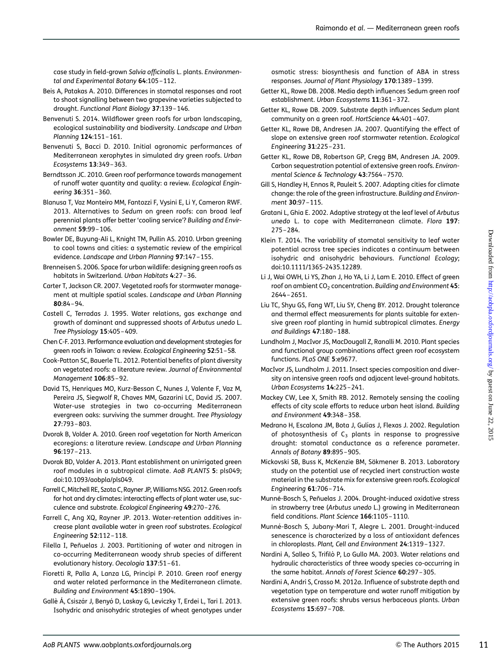<span id="page-10-0"></span>case study in field-grown Salvia officinalis L. plants. Environmental and Experimental Botany 64:105-112.

- Beis A, Patakas A. 2010. Differences in stomatal responses and root to shoot signalling between two grapevine varieties subjected to drought. Functional Plant Biology 37:139 –146.
- Benvenuti S. 2014. Wildflower green roofs for urban landscaping, ecological sustainability and biodiversity. Landscape and Urban Planning 124:151-161.
- Benvenuti S, Bacci D. 2010. Initial agronomic performances of Mediterranean xerophytes in simulated dry green roofs. Urban Ecosystems 13:349 –363.
- Berndtsson JC. 2010. Green roof performance towards management of runoff water quantity and quality: a review. Ecological Engineering 36:351 –360.
- Blanusa T, Vaz Monteiro MM, Fantozzi F, Vysini E, Li Y, Cameron RWF. 2013. Alternatives to Sedum on green roofs: can broad leaf perennial plants offer better 'cooling service'? Building and Environment 59:99 –106.
- Bowler DE, Buyung-Ali L, Knight TM, Pullin AS. 2010. Urban greening to cool towns and cities: a systematic review of the empirical evidence. Landscape and Urban Planning 97:147 –155.
- Brenneisen S. 2006. Space for urban wildlife: designing green roofs as habitats in Switzerland. Urban Habitats 4:27-36.
- Carter T, Jackson CR. 2007. Vegetated roofs for stormwater management at multiple spatial scales. Landscape and Urban Planning 80:84 –94.
- Castell C, Terradas J. 1995. Water relations, gas exchange and growth of dominant and suppressed shoots of Arbutus unedo L. Tree Physiology 15:405 –409.
- Chen C-F. 2013. Performance evaluation and development strategies for green roofs in Taiwan: a review. Ecological Engineering 52:51–58.
- Cook-Patton SC, Bauerle TL. 2012. Potential benefits of plant diversity on vegetated roofs: a literature review. Journal of Environmental Management 106:85 –92.
- David TS, Henriques MO, Kurz-Besson C, Nunes J, Valente F, Vaz M, Pereira JS, Siegwolf R, Chaves MM, Gazarini LC, David JS. 2007. Water-use strategies in two co-occurring Mediterranean evergreen oaks: surviving the summer drought. Tree Physiology 27:793 –803.
- Dvorak B, Volder A. 2010. Green roof vegetation for North American ecoregions: a literature review. Landscape and Urban Planning 96:197 –213.
- Dvorak BD, Volder A. 2013. Plant establishment on unirrigated green roof modules in a subtropical climate. AoB PLANTS 5: pls049; doi:10.1093/aobpla/pls049.
- Farrell C, Mitchell RE, Szota C, Rayner JP, Williams NSG. 2012. Green roofs for hot and dry climates: interacting effects of plant water use, succulence and substrate. Ecological Engineering 49:270–276.
- Farrell C, Ang XQ, Rayner JP. 2013. Water-retention additives increase plant available water in green roof substrates. Ecological Engineering 52:112 –118.
- Filella I, Peñuelas J. 2003. Partitioning of water and nitrogen in co-occurring Mediterranean woody shrub species of different evolutionary history. Oecologia 137:51 –61.
- Fioretti R, Palla A, Lanza LG, Principi P. 2010. Green roof energy and water related performance in the Mediterranean climate. Building and Environment 45:1890 –1904.
- Gallè Á, Csiszár J, Benyó D, Laskay G, Leviczky T, Erdei L, Tari I. 2013. Isohydric and anisohydric strategies of wheat genotypes under

osmotic stress: biosynthesis and function of ABA in stress responses. Journal of Plant Physiology 170:1389 –1399.

- Getter KL, Rowe DB. 2008. Media depth influences Sedum green roof establishment. Urban Ecosystems 11:361 –372.
- Getter KL, Rowe DB. 2009. Substrate depth influences Sedum plant community on a green roof. HortScience 44:401 –407.
- Getter KL, Rowe DB, Andresen JA. 2007. Quantifying the effect of slope on extensive green roof stormwater retention. Ecological Engineering 31:225 –231.
- Getter KL, Rowe DB, Robertson GP, Cregg BM, Andresen JA. 2009. Carbon sequestration potential of extensive green roofs. Environmental Science & Technology 43:7564 –7570.
- Gill S, Handley H, Ennos R, Pauleit S. 2007. Adapting cities for climate change: the role of the green infrastructure. Building and Environment 30:97–115.
- Gratani L, Ghia E. 2002. Adaptive strategy at the leaf level of Arbutus unedo L. to cope with Mediterranean climate. Flora 197: 275 –284.
- Klein T. 2014. The variability of stomatal sensitivity to leaf water potential across tree species indicates a continuum between isohydric and anisohydric behaviours. Functional Ecology; doi:10.1111/1365-2435.12289.
- Li J, Wai OWH, Li YS, Zhan J, Ho YA, Li J, Lam E. 2010. Effect of green roof on ambient  $CO<sub>2</sub>$  concentration. Building and Environment 45: 2644 –2651.
- Liu TC, Shyu GS, Fang WT, Liu SY, Cheng BY. 2012. Drought tolerance and thermal effect measurements for plants suitable for extensive green roof planting in humid subtropical climates. Energy and Buildings 47:180 –188.
- Lundholm J, MacIvor JS, MacDougall Z, Ranalli M. 2010. Plant species and functional group combinations affect green roof ecosystem functions. PLoS ONE 5:e9677.
- MacIvor JS, Lundholm J. 2011. Insect species composition and diversity on intensive green roofs and adjacent level-ground habitats. Urban Ecosystems 14:225 –241.
- Mackey CW, Lee X, Smith RB. 2012. Remotely sensing the cooling effects of city scale efforts to reduce urban heat island. Building and Environment 49:348 –358.
- Medrano H, Escalona JM, Bota J, Gulías J, Flexas J. 2002. Regulation of photosynthesis of  $C_3$  plants in response to progressive drought: stomatal conductance as a reference parameter. Annals of Botany 89:895-905.
- Mickovski SB, Buss K, McKenzie BM, Sökmener B. 2013. Laboratory study on the potential use of recycled inert construction waste material in the substrate mix for extensive green roofs. Ecological Engineering 61:706 –714.
- Munné-Bosch S, Peñuelas J. 2004. Drought-induced oxidative stress in strawberry tree (Arbutus unedo L.) growing in Mediterranean field conditions. Plant Science 166:1105-1110.
- Munné-Bosch S, Jubany-Mari T, Alegre L. 2001. Drought-induced senescence is characterized by a loss of antioxidant defences in chloroplasts. Plant, Cell and Environment 24:1319 –1327.
- Nardini A, Salleo S, Trifilò P, Lo Gullo MA. 2003. Water relations and hydraulic characteristics of three woody species co-occurring in the same habitat. Annals of Forest Science 60:297 –305.
- Nardini A, Andri S, Crasso M. 2012a. Influence of substrate depth and vegetation type on temperature and water runoff mitigation by extensive green roofs: shrubs versus herbaceous plants. Urban Ecosystems 15:697 –708.

Downloaded from http://aobpla.oxfordjournals.org/ by guest on June 22, 2015  $Downloaded from <http://aophla.oxfordjounals.org/> by guest on June 22, 2015$